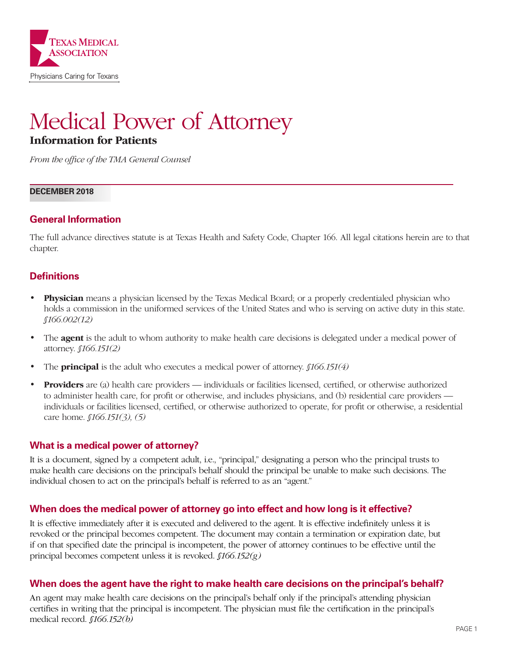

# Medical Power of Attorney

## **Information for Patients**

*From the office of the TMA General Counsel*

#### **DECEMBER 2018**

## **General Information**

The full advance directives statute is at Texas Health and Safety Code, Chapter 166. All legal citations herein are to that chapter.

## **Definitions**

- **• Physician** means a physician licensed by the Texas Medical Board; or a properly credentialed physician who holds a commission in the uniformed services of the United States and who is serving on active duty in this state. *§166.002(12)*
- The **agent** is the adult to whom authority to make health care decisions is delegated under a medical power of attorney. *§166.151(2)*
- **•** The **principal** is the adult who executes a medical power of attorney. *§166.151(4)*
- **• Providers** are (a) health care providers individuals or facilities licensed, certified, or otherwise authorized to administer health care, for profit or otherwise, and includes physicians, and (b) residential care providers individuals or facilities licensed, certified, or otherwise authorized to operate, for profit or otherwise, a residential care home. *§166.151(3), (5)*

#### **What is a medical power of attorney?**

It is a document, signed by a competent adult, i.e., "principal," designating a person who the principal trusts to make health care decisions on the principal's behalf should the principal be unable to make such decisions. The individual chosen to act on the principal's behalf is referred to as an "agent."

## **When does the medical power of attorney go into effect and how long is it effective?**

It is effective immediately after it is executed and delivered to the agent. It is effective indefinitely unless it is revoked or the principal becomes competent. The document may contain a termination or expiration date, but if on that specified date the principal is incompetent, the power of attorney continues to be effective until the principal becomes competent unless it is revoked. *§166.152(g)*

## **When does the agent have the right to make health care decisions on the principal's behalf?**

An agent may make health care decisions on the principal's behalf only if the principal's attending physician certifies in writing that the principal is incompetent. The physician must file the certification in the principal's medical record. *§166.152(b)*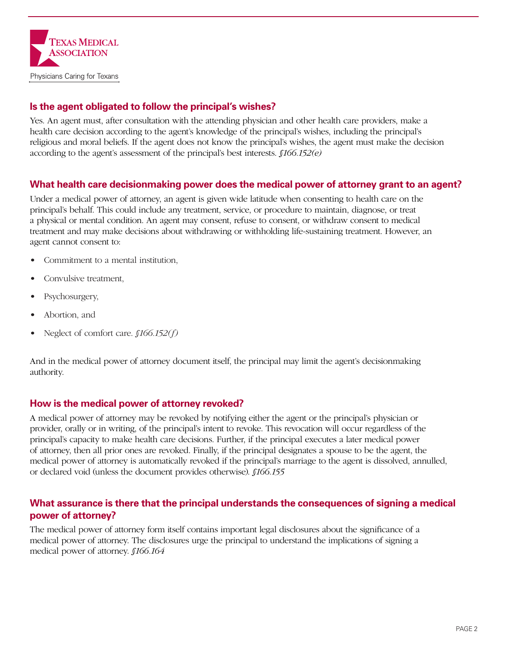

## **Is the agent obligated to follow the principal's wishes?**

Yes. An agent must, after consultation with the attending physician and other health care providers, make a health care decision according to the agent's knowledge of the principal's wishes, including the principal's religious and moral beliefs. If the agent does not know the principal's wishes, the agent must make the decision according to the agent's assessment of the principal's best interests. *§166.152(e)*

## **What health care decisionmaking power does the medical power of attorney grant to an agent?**

Under a medical power of attorney, an agent is given wide latitude when consenting to health care on the principal's behalf. This could include any treatment, service, or procedure to maintain, diagnose, or treat a physical or mental condition. An agent may consent, refuse to consent, or withdraw consent to medical treatment and may make decisions about withdrawing or withholding life-sustaining treatment. However, an agent cannot consent to:

- Commitment to a mental institution,
- Convulsive treatment,
- Psychosurgery,
- Abortion, and
- Neglect of comfort care. *§166.152(f)*

And in the medical power of attorney document itself, the principal may limit the agent's decisionmaking authority.

#### **How is the medical power of attorney revoked?**

A medical power of attorney may be revoked by notifying either the agent or the principal's physician or provider, orally or in writing, of the principal's intent to revoke. This revocation will occur regardless of the principal's capacity to make health care decisions. Further, if the principal executes a later medical power of attorney, then all prior ones are revoked. Finally, if the principal designates a spouse to be the agent, the medical power of attorney is automatically revoked if the principal's marriage to the agent is dissolved, annulled, or declared void (unless the document provides otherwise). *§166.155*

## **What assurance is there that the principal understands the consequences of signing a medical power of attorney?**

The medical power of attorney form itself contains important legal disclosures about the significance of a medical power of attorney. The disclosures urge the principal to understand the implications of signing a medical power of attorney. *§166.164*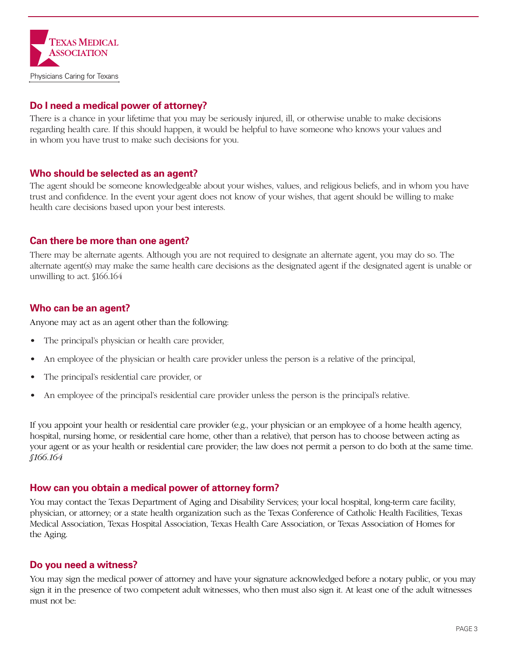

## **Do I need a medical power of attorney?**

There is a chance in your lifetime that you may be seriously injured, ill, or otherwise unable to make decisions regarding health care. If this should happen, it would be helpful to have someone who knows your values and in whom you have trust to make such decisions for you.

## **Who should be selected as an agent?**

The agent should be someone knowledgeable about your wishes, values, and religious beliefs, and in whom you have trust and confidence. In the event your agent does not know of your wishes, that agent should be willing to make health care decisions based upon your best interests.

## **Can there be more than one agent?**

There may be alternate agents. Although you are not required to designate an alternate agent, you may do so. The alternate agent(s) may make the same health care decisions as the designated agent if the designated agent is unable or unwilling to act. §166.164

## **Who can be an agent?**

Anyone may act as an agent other than the following:

- The principal's physician or health care provider,
- An employee of the physician or health care provider unless the person is a relative of the principal,
- The principal's residential care provider, or
- An employee of the principal's residential care provider unless the person is the principal's relative.

If you appoint your health or residential care provider (e.g., your physician or an employee of a home health agency, hospital, nursing home, or residential care home, other than a relative), that person has to choose between acting as your agent or as your health or residential care provider; the law does not permit a person to do both at the same time. *§166.164*

#### **How can you obtain a medical power of attorney form?**

You may contact the Texas Department of Aging and Disability Services; your local hospital, long-term care facility, physician, or attorney; or a state health organization such as the Texas Conference of Catholic Health Facilities, Texas Medical Association, Texas Hospital Association, Texas Health Care Association, or Texas Association of Homes for the Aging.

#### **Do you need a witness?**

You may sign the medical power of attorney and have your signature acknowledged before a notary public, or you may sign it in the presence of two competent adult witnesses, who then must also sign it. At least one of the adult witnesses must not be: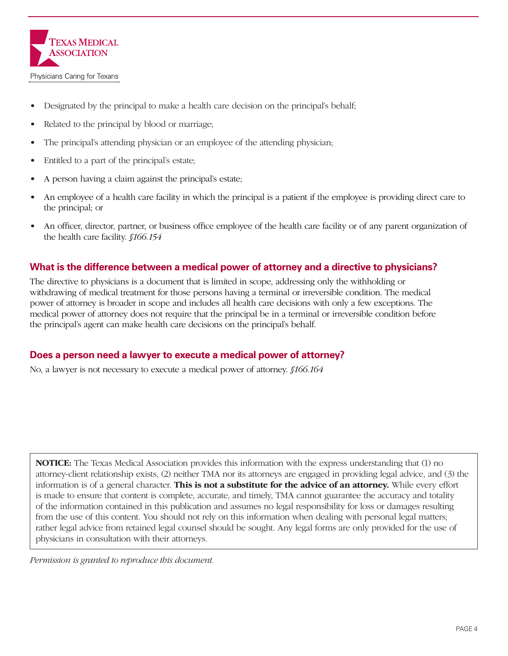

- Designated by the principal to make a health care decision on the principal's behalf;
- Related to the principal by blood or marriage;
- The principal's attending physician or an employee of the attending physician;
- Entitled to a part of the principal's estate;
- A person having a claim against the principal's estate;
- An employee of a health care facility in which the principal is a patient if the employee is providing direct care to the principal; or
- An officer, director, partner, or business office employee of the health care facility or of any parent organization of the health care facility. *§166.154*

#### **What is the difference between a medical power of attorney and a directive to physicians?**

The directive to physicians is a document that is limited in scope, addressing only the withholding or withdrawing of medical treatment for those persons having a terminal or irreversible condition. The medical power of attorney is broader in scope and includes all health care decisions with only a few exceptions. The medical power of attorney does not require that the principal be in a terminal or irreversible condition before the principal's agent can make health care decisions on the principal's behalf.

#### **Does a person need a lawyer to execute a medical power of attorney?**

No, a lawyer is not necessary to execute a medical power of attorney. *§166.164*

**NOTICE:** The Texas Medical Association provides this information with the express understanding that (1) no attorney-client relationship exists, (2) neither TMA nor its attorneys are engaged in providing legal advice, and (3) the information is of a general character. **This is not a substitute for the advice of an attorney.** While every effort is made to ensure that content is complete, accurate, and timely, TMA cannot guarantee the accuracy and totality of the information contained in this publication and assumes no legal responsibility for loss or damages resulting from the use of this content. You should not rely on this information when dealing with personal legal matters; rather legal advice from retained legal counsel should be sought. Any legal forms are only provided for the use of physicians in consultation with their attorneys.

*Permission is granted to reproduce this document.*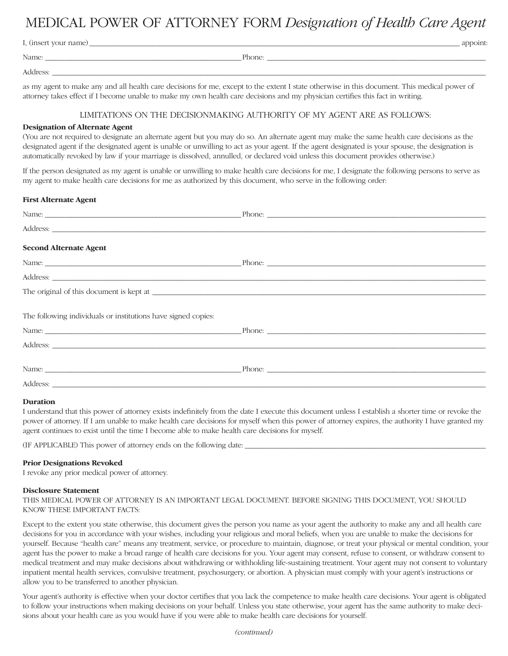## MEDICAL POWER OF ATTORNEY FORM *Designation of Health Care Agent*

I, (insert your name) \_\_\_\_\_\_\_\_\_\_\_\_\_\_\_\_\_\_\_\_\_\_\_\_\_\_\_\_\_\_\_\_\_\_\_\_\_\_\_\_\_\_\_\_\_\_\_\_\_\_\_\_\_\_\_\_\_\_\_\_\_\_\_\_\_\_\_\_\_\_\_\_\_\_\_\_\_\_\_\_\_\_\_\_\_\_\_\_\_\_\_\_\_\_\_\_\_\_\_\_ appoint:

| Name     | Dhan<br>. HOHE: |  |
|----------|-----------------|--|
|          |                 |  |
| Address: |                 |  |

as my agent to make any and all health care decisions for me, except to the extent I state otherwise in this document. This medical power of attorney takes effect if I become unable to make my own health care decisions and my physician certifies this fact in writing.

#### LIMITATIONS ON THE DECISIONMAKING AUTHORITY OF MY AGENT ARE AS FOLLOWS:

#### **Designation of Alternate Agent**

(You are not required to designate an alternate agent but you may do so. An alternate agent may make the same health care decisions as the designated agent if the designated agent is unable or unwilling to act as your agent. If the agent designated is your spouse, the designation is automatically revoked by law if your marriage is dissolved, annulled, or declared void unless this document provides otherwise.)

If the person designated as my agent is unable or unwilling to make health care decisions for me, I designate the following persons to serve as my agent to make health care decisions for me as authorized by this document, who serve in the following order:

#### **First Alternate Agent**

| <b>Second Alternate Agent</b>                                 |  |
|---------------------------------------------------------------|--|
|                                                               |  |
|                                                               |  |
|                                                               |  |
|                                                               |  |
| The following individuals or institutions have signed copies: |  |
|                                                               |  |
|                                                               |  |
|                                                               |  |
|                                                               |  |
|                                                               |  |

#### **Duration**

I understand that this power of attorney exists indefinitely from the date I execute this document unless I establish a shorter time or revoke the power of attorney. If I am unable to make health care decisions for myself when this power of attorney expires, the authority I have granted my agent continues to exist until the time I become able to make health care decisions for myself.

(IF APPLICABLE) This power of attorney ends on the following date: \_\_\_\_\_\_\_\_\_\_\_\_\_\_\_\_\_\_\_\_\_\_\_\_\_\_\_\_\_\_\_\_\_\_\_\_\_\_\_\_\_\_\_\_\_\_\_\_\_\_\_\_\_\_\_\_\_\_\_\_\_\_\_\_\_

#### **Prior Designations Revoked**

I revoke any prior medical power of attorney.

#### **Disclosure Statement**

THIS MEDICAL POWER OF ATTORNEY IS AN IMPORTANT LEGAL DOCUMENT. BEFORE SIGNING THIS DOCUMENT, YOU SHOULD KNOW THESE IMPORTANT FACTS:

Except to the extent you state otherwise, this document gives the person you name as your agent the authority to make any and all health care decisions for you in accordance with your wishes, including your religious and moral beliefs, when you are unable to make the decisions for yourself. Because "health care" means any treatment, service, or procedure to maintain, diagnose, or treat your physical or mental condition, your agent has the power to make a broad range of health care decisions for you. Your agent may consent, refuse to consent, or withdraw consent to medical treatment and may make decisions about withdrawing or withholding life-sustaining treatment. Your agent may not consent to voluntary inpatient mental health services, convulsive treatment, psychosurgery, or abortion. A physician must comply with your agent's instructions or allow you to be transferred to another physician.

Your agent's authority is effective when your doctor certifies that you lack the competence to make health care decisions. Your agent is obligated to follow your instructions when making decisions on your behalf. Unless you state otherwise, your agent has the same authority to make decisions about your health care as you would have if you were able to make health care decisions for yourself.

*(continued)*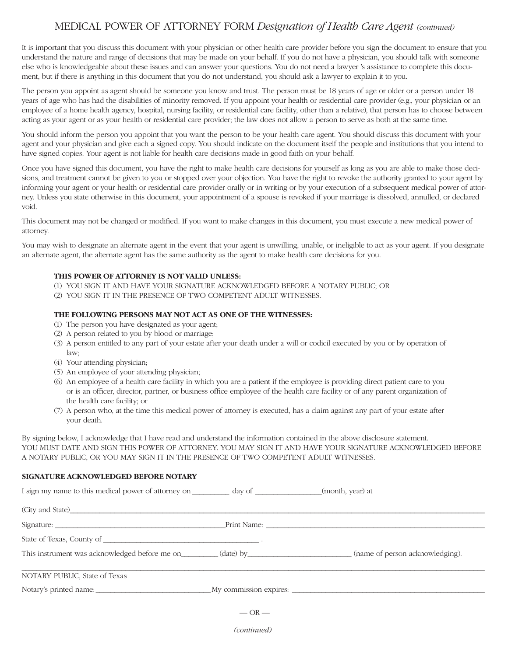## MEDICAL POWER OF ATTORNEY FORM *Designation of Health Care Agent (continued)*

It is important that you discuss this document with your physician or other health care provider before you sign the document to ensure that you understand the nature and range of decisions that may be made on your behalf. If you do not have a physician, you should talk with someone else who is knowledgeable about these issues and can answer your questions. You do not need a lawyer 's assistance to complete this document, but if there is anything in this document that you do not understand, you should ask a lawyer to explain it to you.

The person you appoint as agent should be someone you know and trust. The person must be 18 years of age or older or a person under 18 years of age who has had the disabilities of minority removed. If you appoint your health or residential care provider (e.g., your physician or an employee of a home health agency, hospital, nursing facility, or residential care facility, other than a relative), that person has to choose between acting as your agent or as your health or residential care provider; the law does not allow a person to serve as both at the same time.

You should inform the person you appoint that you want the person to be your health care agent. You should discuss this document with your agent and your physician and give each a signed copy. You should indicate on the document itself the people and institutions that you intend to have signed copies. Your agent is not liable for health care decisions made in good faith on your behalf.

Once you have signed this document, you have the right to make health care decisions for yourself as long as you are able to make those decisions, and treatment cannot be given to you or stopped over your objection. You have the right to revoke the authority granted to your agent by informing your agent or your health or residential care provider orally or in writing or by your execution of a subsequent medical power of attorney. Unless you state otherwise in this document, your appointment of a spouse is revoked if your marriage is dissolved, annulled, or declared void.

This document may not be changed or modified. If you want to make changes in this document, you must execute a new medical power of attorney.

You may wish to designate an alternate agent in the event that your agent is unwilling, unable, or ineligible to act as your agent. If you designate an alternate agent, the alternate agent has the same authority as the agent to make health care decisions for you.

#### **THIS POWER OF ATTORNEY IS NOT VALID UNLESS:**

- (1) YOU SIGN IT AND HAVE YOUR SIGNATURE ACKNOWLEDGED BEFORE A NOTARY PUBLIC; OR
- (2) YOU SIGN IT IN THE PRESENCE OF TWO COMPETENT ADULT WITNESSES.

#### **THE FOLLOWING PERSONS MAY NOT ACT AS ONE OF THE WITNESSES:**

- (1) The person you have designated as your agent;
- (2) A person related to you by blood or marriage;
- (3) A person entitled to any part of your estate after your death under a will or codicil executed by you or by operation of law;
- (4) Your attending physician;
- (5) An employee of your attending physician;
- (6) An employee of a health care facility in which you are a patient if the employee is providing direct patient care to you or is an officer, director, partner, or business office employee of the health care facility or of any parent organization of the health care facility; or
- (7) A person who, at the time this medical power of attorney is executed, has a claim against any part of your estate after your death.

By signing below, I acknowledge that I have read and understand the information contained in the above disclosure statement. YOU MUST DATE AND SIGN THIS POWER OF ATTORNEY. YOU MAY SIGN IT AND HAVE YOUR SIGNATURE ACKNOWLEDGED BEFORE A NOTARY PUBLIC, OR YOU MAY SIGN IT IN THE PRESENCE OF TWO COMPETENT ADULT WITNESSES.

#### **SIGNATURE ACKNOWLEDGED BEFORE NOTARY**

| I sign my name to this medical power of attorney on electron day of electron month, year) at |  |
|----------------------------------------------------------------------------------------------|--|
|                                                                                              |  |
|                                                                                              |  |
|                                                                                              |  |
|                                                                                              |  |
| NOTARY PUBLIC, State of Texas                                                                |  |
|                                                                                              |  |

*(continued)*